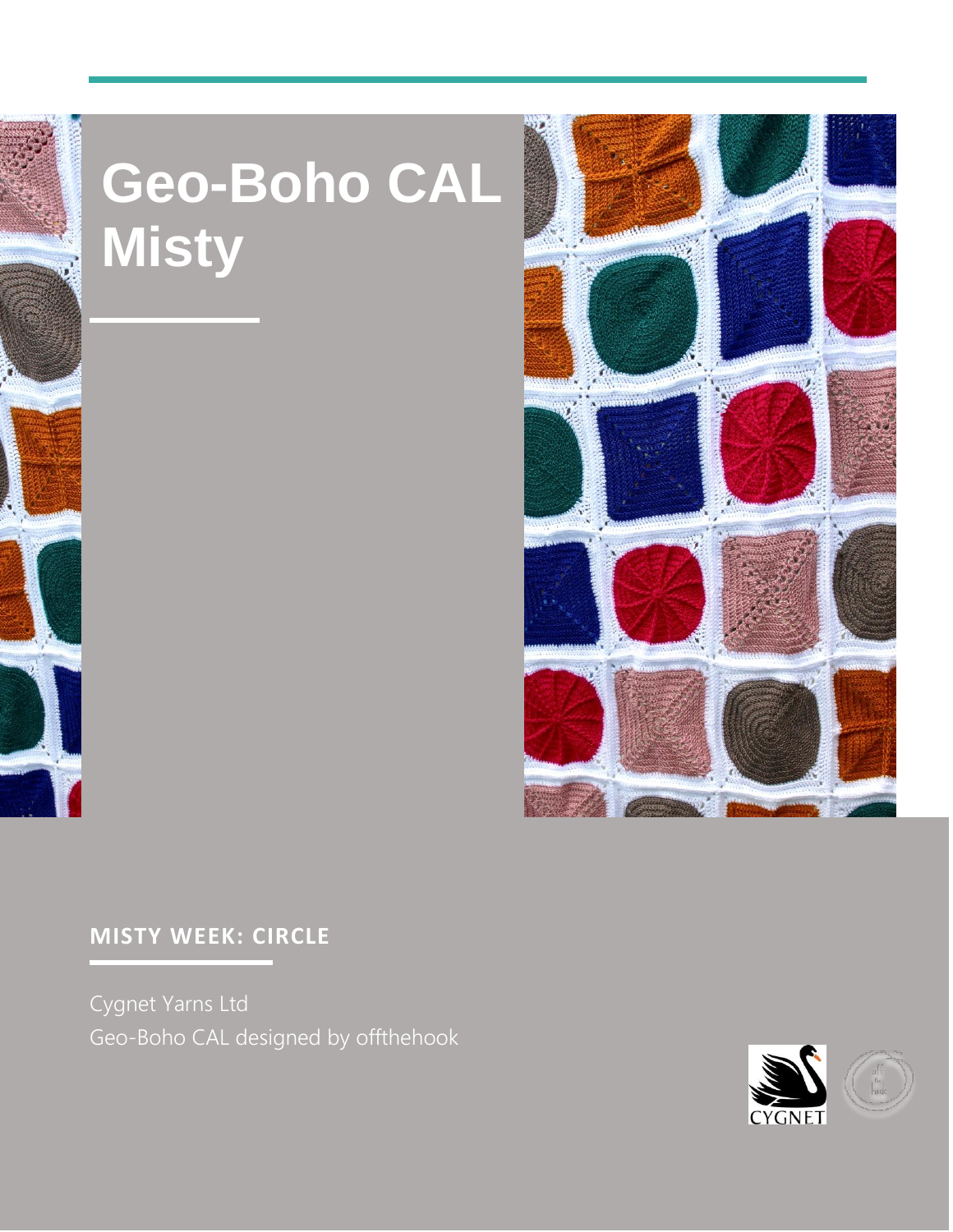

## Geo-Boho CAL<br>Misty



## **MISTY WEEK: CIRCLE**

Cygnet Yarns Ltd Geo-Boho CAL designed by offthehook



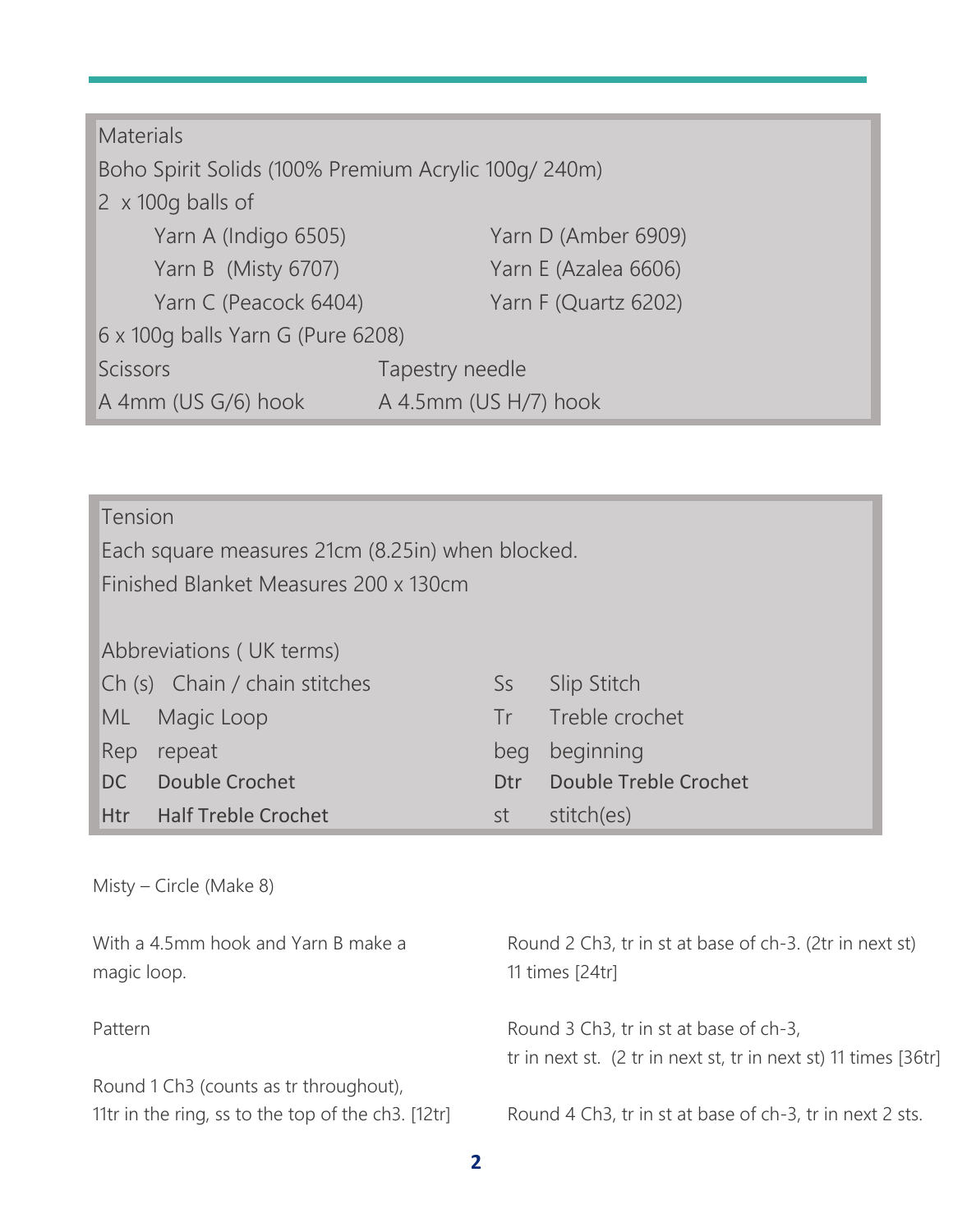| <b>Materials</b>                                     |                       |
|------------------------------------------------------|-----------------------|
| Boho Spirit Solids (100% Premium Acrylic 100g/ 240m) |                       |
| $\sqrt{2}$ x 100g balls of                           |                       |
| Yarn A (Indigo 6505)                                 | Yarn D (Amber 6909)   |
| Yarn B (Misty 6707)                                  | Yarn E (Azalea 6606)  |
| Yarn C (Peacock 6404)                                | Yarn F (Quartz 6202)  |
| 6 x 100q balls Yarn G (Pure 6208)                    |                       |
| <b>Scissors</b>                                      | Tapestry needle       |
| A 4mm (US G/6) hook                                  | A 4.5mm (US H/7) hook |

Tension Each square measures 21cm (8.25in) when blocked. Finished Blanket Measures 200 x 130cm Abbreviations ( UK terms) Ch (s) Chain / chain stitches Ss Slip Stitch ML Magic Loop Tr Treble crochet Rep repeat beg beginning DC Double Crochet Dtr Double Treble Crochet Htr Half Treble Crochet st stitch(es)

Misty – Circle (Make 8) With a 4.5mm hook and Yarn B make a magic loop. Pattern Round 1 Ch3 (counts as tr throughout), 11tr in the ring, ss to the top of the ch3. [12tr] Round 2 Ch3, tr in st at base of ch-3. (2tr in next st) 11 times [24tr] Round 3 Ch3, tr in st at base of ch-3, tr in next st. (2 tr in next st, tr in next st) 11 times [36tr] Round 4 Ch3, tr in st at base of ch-3, tr in next 2 sts.